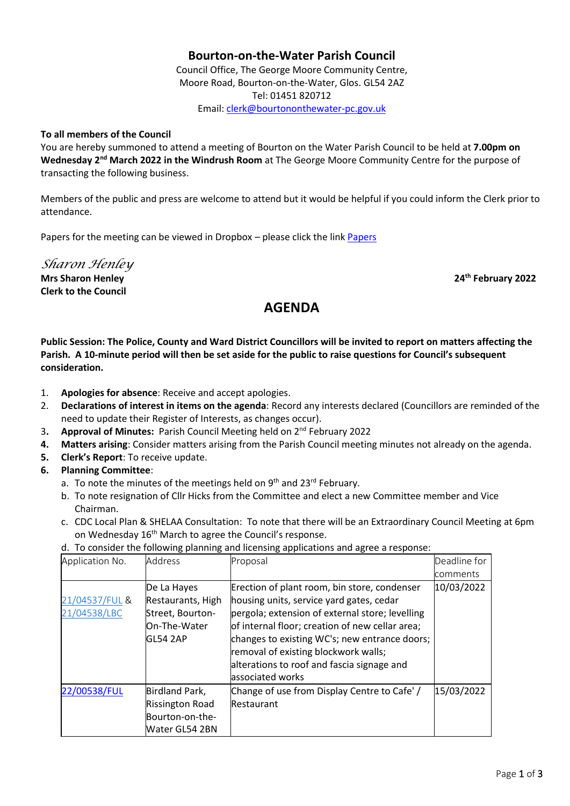# **Bourton-on-the-Water Parish Council**

Council Office, The George Moore Community Centre, Moore Road, Bourton-on-the-Water, Glos. GL54 2AZ Tel: 01451 820712 Email[: clerk@bourtononthewater-pc.gov.uk](mailto:clerk@bourtononthewater-pc.gov.uk)

#### **To all members of the Council**

You are hereby summoned to attend a meeting of Bourton on the Water Parish Council to be held at **7.00pm on**  Wednesday 2<sup>nd</sup> March 2022 in the Windrush Room at The George Moore Community Centre for the purpose of transacting the following business.

Members of the public and press are welcome to attend but it would be helpful if you could inform the Clerk prior to attendance.

Papers for the meeting can be viewed in Dropbox – please click the link [Papers](https://www.dropbox.com/sh/071w9v409dyb9et/AAAjj3nNSqGYVU7mTbzAZp8Za?dl=0)

*Sharon Henley*

**Clerk to the Council**

**Mrs Sharon Henley 24th February 2022**

# **AGENDA**

**Public Session: The Police, County and Ward District Councillors will be invited to report on matters affecting the Parish. A 10-minute period will then be set aside for the public to raise questions for Council's subsequent consideration.** 

- 1. **Apologies for absence**: Receive and accept apologies.
- 2. **Declarations of interest in items on the agenda**: Record any interests declared (Councillors are reminded of the need to update their Register of Interests, as changes occur).
- 3**. Approval of Minutes:** Parish Council Meeting held on 2 nd February 2022
- **4. Matters arising**: Consider matters arising from the Parish Council meeting minutes not already on the agenda.
- **5. Clerk's Report**: To receive update.
- **6. Planning Committee**:
	- a. To note the minutes of the meetings held on 9<sup>th</sup> and 23<sup>rd</sup> February.
	- b. To note resignation of Cllr Hicks from the Committee and elect a new Committee member and Vice Chairman.
	- c. CDC Local Plan & SHELAA Consultation: To note that there will be an Extraordinary Council Meeting at 6pm on Wednesday 16<sup>th</sup> March to agree the Council's response.
	- d. To consider the following planning and licensing applications and agree a response:

| Application No. | <b>Address</b>         | Proposal                                        | Deadline for |
|-----------------|------------------------|-------------------------------------------------|--------------|
|                 |                        |                                                 | comments     |
|                 | De La Hayes            | Erection of plant room, bin store, condenser    | 10/03/2022   |
| 21/04537/FUL &  | Restaurants, High      | housing units, service yard gates, cedar        |              |
| 21/04538/LBC    | Street, Bourton-       | pergola; extension of external store; levelling |              |
|                 | On-The-Water           | of internal floor; creation of new cellar area; |              |
|                 | <b>GL54 2AP</b>        | changes to existing WC's; new entrance doors;   |              |
|                 |                        | removal of existing blockwork walls;            |              |
|                 |                        | alterations to roof and fascia signage and      |              |
|                 |                        | associated works                                |              |
| 22/00538/FUL    | Birdland Park,         | Change of use from Display Centre to Cafe'/     | 15/03/2022   |
|                 | <b>Rissington Road</b> | Restaurant                                      |              |
|                 | Bourton-on-the-        |                                                 |              |
|                 | Water GL54 2BN         |                                                 |              |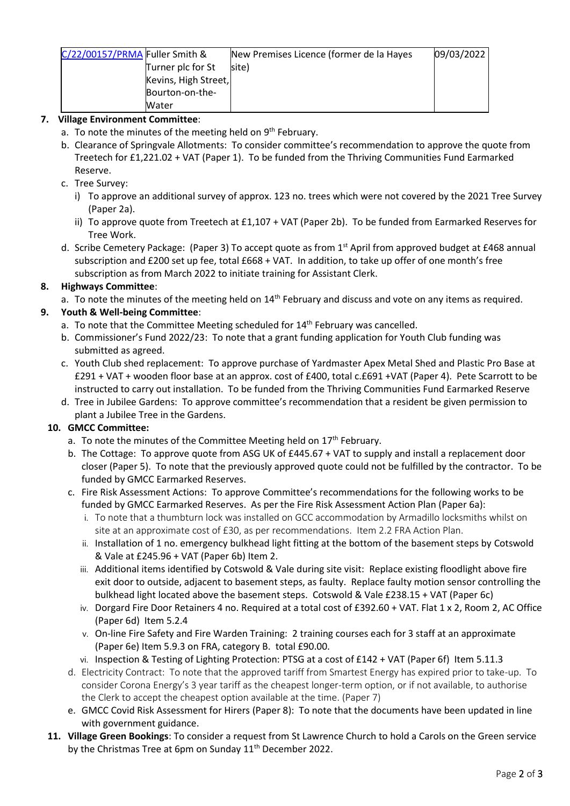| C/22/00157/PRMA Fuller Smith & | New Premises Licence (former de la Hayes | 09/03/2022 |
|--------------------------------|------------------------------------------|------------|
| Turner plc for St              | site)                                    |            |
| Kevins, High Street,           |                                          |            |
| Bourton-on-the-                |                                          |            |
| Water                          |                                          |            |

## **7. Village Environment Committee**:

- a. To note the minutes of the meeting held on 9<sup>th</sup> February.
- b. Clearance of Springvale Allotments: To consider committee's recommendation to approve the quote from Treetech for £1,221.02 + VAT (Paper 1). To be funded from the Thriving Communities Fund Earmarked Reserve.
- c. Tree Survey:
	- i) To approve an additional survey of approx. 123 no. trees which were not covered by the 2021 Tree Survey (Paper 2a).
	- ii) To approve quote from Treetech at £1,107 + VAT (Paper 2b). To be funded from Earmarked Reserves for Tree Work.
- d. Scribe Cemetery Package: (Paper 3) To accept quote as from  $1<sup>st</sup>$  April from approved budget at £468 annual subscription and £200 set up fee, total £668 + VAT. In addition, to take up offer of one month's free subscription as from March 2022 to initiate training for Assistant Clerk.

# **8. Highways Committee**:

a. To note the minutes of the meeting held on 14<sup>th</sup> February and discuss and vote on any items as required.

# **9. Youth & Well-being Committee**:

- a. To note that the Committee Meeting scheduled for 14<sup>th</sup> February was cancelled.
- b. Commissioner's Fund 2022/23: To note that a grant funding application for Youth Club funding was submitted as agreed.
- c. Youth Club shed replacement: To approve purchase of Yardmaster Apex Metal Shed and Plastic Pro Base at £291 + VAT + wooden floor base at an approx. cost of £400, total c.£691 +VAT (Paper 4). Pete Scarrott to be instructed to carry out installation. To be funded from the Thriving Communities Fund Earmarked Reserve
- d. Tree in Jubilee Gardens: To approve committee's recommendation that a resident be given permission to plant a Jubilee Tree in the Gardens.

### **10. GMCC Committee:**

- a. To note the minutes of the Committee Meeting held on  $17<sup>th</sup>$  February.
- b. The Cottage: To approve quote from ASG UK of £445.67 + VAT to supply and install a replacement door closer (Paper 5). To note that the previously approved quote could not be fulfilled by the contractor. To be funded by GMCC Earmarked Reserves.
- c. Fire Risk Assessment Actions: To approve Committee's recommendations for the following works to be funded by GMCC Earmarked Reserves. As per the Fire Risk Assessment Action Plan (Paper 6a):
	- i. To note that a thumbturn lock was installed on GCC accommodation by Armadillo locksmiths whilst on site at an approximate cost of £30, as per recommendations. Item 2.2 FRA Action Plan.
	- ii. Installation of 1 no. emergency bulkhead light fitting at the bottom of the basement steps by Cotswold & Vale at £245.96 + VAT (Paper 6b) Item 2.
	- iii. Additional items identified by Cotswold & Vale during site visit: Replace existing floodlight above fire exit door to outside, adjacent to basement steps, as faulty. Replace faulty motion sensor controlling the bulkhead light located above the basement steps. Cotswold & Vale £238.15 + VAT (Paper 6c)
	- iv. Dorgard Fire Door Retainers 4 no. Required at a total cost of £392.60 + VAT. Flat 1 x 2, Room 2, AC Office (Paper 6d) Item 5.2.4
	- v. On-line Fire Safety and Fire Warden Training: 2 training courses each for 3 staff at an approximate (Paper 6e) Item 5.9.3 on FRA, category B. total £90.00.
	- vi. Inspection & Testing of Lighting Protection: PTSG at a cost of £142 + VAT (Paper 6f) Item 5.11.3
- d. Electricity Contract: To note that the approved tariff from Smartest Energy has expired prior to take-up. To consider Corona Energy's 3 year tariff as the cheapest longer-term option, or if not available, to authorise the Clerk to accept the cheapest option available at the time. (Paper 7)
- e. GMCC Covid Risk Assessment for Hirers (Paper 8): To note that the documents have been updated in line with government guidance.
- **11. Village Green Bookings**: To consider a request from St Lawrence Church to hold a Carols on the Green service by the Christmas Tree at 6pm on Sunday 11<sup>th</sup> December 2022.